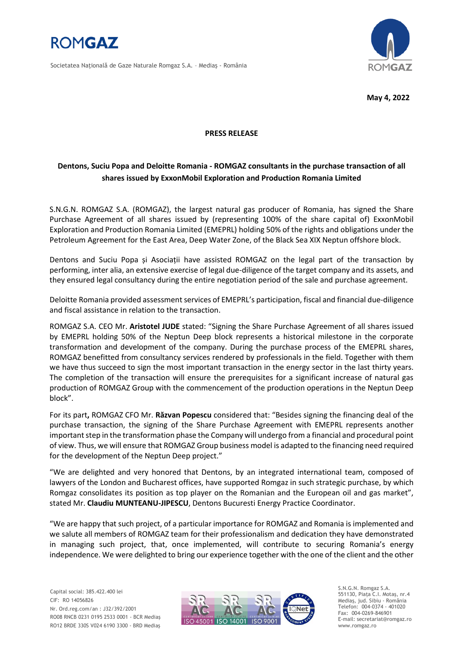

Societatea Naţională de Gaze Naturale Romgaz S.A. – Mediaş - România



**May 4, 2022**

## **PRESS RELEASE**

# **Dentons, Suciu Popa and Deloitte Romania - ROMGAZ consultants in the purchase transaction of all shares issued by ExxonMobil Exploration and Production Romania Limited**

S.N.G.N. ROMGAZ S.A. (ROMGAZ), the largest natural gas producer of Romania, has signed the Share Purchase Agreement of all shares issued by (representing 100% of the share capital of) ExxonMobil Exploration and Production Romania Limited (EMEPRL) holding 50% of the rights and obligations under the Petroleum Agreement for the East Area, Deep Water Zone, of the Black Sea XIX Neptun offshore block.

Dentons and Suciu Popa și Asociații have assisted ROMGAZ on the legal part of the transaction by performing, inter alia, an extensive exercise of legal due-diligence of the target company and its assets, and they ensured legal consultancy during the entire negotiation period of the sale and purchase agreement.

Deloitte Romania provided assessment services of EMEPRL's participation, fiscal and financial due-diligence and fiscal assistance in relation to the transaction.

ROMGAZ S.A. CEO Mr. **Aristotel JUDE** stated: "Signing the Share Purchase Agreement of all shares issued by EMEPRL holding 50% of the Neptun Deep block represents a historical milestone in the corporate transformation and development of the company. During the purchase process of the EMEPRL shares, ROMGAZ benefitted from consultancy services rendered by professionals in the field. Together with them we have thus succeed to sign the most important transaction in the energy sector in the last thirty years. The completion of the transaction will ensure the prerequisites for a significant increase of natural gas production of ROMGAZ Group with the commencement of the production operations in the Neptun Deep block".

For its part**,** ROMGAZ CFO Mr. **Răzvan Popescu** considered that: "Besides signing the financing deal of the purchase transaction, the signing of the Share Purchase Agreement with EMEPRL represents another important step in the transformation phase the Company will undergo from a financial and procedural point of view. Thus, we will ensure that ROMGAZ Group business model is adapted to the financing need required for the development of the Neptun Deep project."

"We are delighted and very honored that Dentons, by an integrated international team, composed of lawyers of the London and Bucharest offices, have supported Romgaz in such strategic purchase, by which Romgaz consolidates its position as top player on the Romanian and the European oil and gas market", stated Mr. **Claudiu MUNTEANU-JIPESCU**, Dentons Bucuresti Energy Practice Coordinator.

"We are happy that such project, of a particular importance for ROMGAZ and Romania is implemented and we salute all members of ROMGAZ team for their professionalism and dedication they have demonstrated in managing such project, that, once implemented, will contribute to securing Romania's energy independence. We were delighted to bring our experience together with the one of the client and the other



S.N.G.N. Romgaz S.A. 551130, Piața C.I. Motaş, nr.4 Mediaş, jud. Sibiu - România Telefon: 004-0374 - 401020 Fax: 004-0269-846901 E-mail: secretariat@romgaz.ro www.romgaz.ro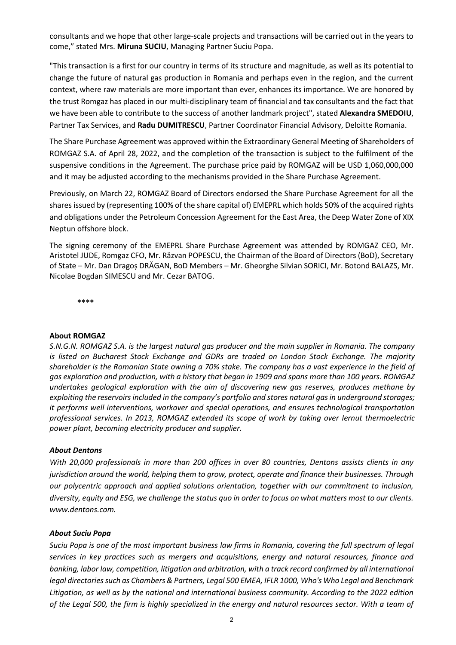consultants and we hope that other large-scale projects and transactions will be carried out in the years to come," stated Mrs. **Miruna SUCIU**, Managing Partner Suciu Popa.

"This transaction is a first for our country in terms of its structure and magnitude, as well as its potential to change the future of natural gas production in Romania and perhaps even in the region, and the current context, where raw materials are more important than ever, enhances its importance. We are honored by the trust Romgaz has placed in our multi-disciplinary team of financial and tax consultants and the fact that we have been able to contribute to the success of another landmark project", stated **Alexandra SMEDOIU**, Partner Tax Services, and **Radu DUMITRESCU**, Partner Coordinator Financial Advisory, Deloitte Romania.

The Share Purchase Agreement was approved within the Extraordinary General Meeting of Shareholders of ROMGAZ S.A. of April 28, 2022, and the completion of the transaction is subject to the fulfilment of the suspensive conditions in the Agreement. The purchase price paid by ROMGAZ will be USD 1,060,000,000 and it may be adjusted according to the mechanisms provided in the Share Purchase Agreement.

Previously, on March 22, ROMGAZ Board of Directors endorsed the Share Purchase Agreement for all the shares issued by (representing 100% of the share capital of) EMEPRL which holds 50% of the acquired rights and obligations under the Petroleum Concession Agreement for the East Area, the Deep Water Zone of XIX Neptun offshore block.

The signing ceremony of the EMEPRL Share Purchase Agreement was attended by ROMGAZ CEO, Mr. Aristotel JUDE, Romgaz CFO, Mr. Răzvan POPESCU, the Chairman of the Board of Directors (BoD), Secretary of State – Mr. Dan Dragoș DRĂGAN, BoD Members – Mr. Gheorghe Silvian SORICI, Mr. Botond BALAZS, Mr. Nicolae Bogdan SIMESCU and Mr. Cezar BATOG.

**\*\*\*\***

#### **About ROMGAZ**

*S.N.G.N. ROMGAZ S.A. is the largest natural gas producer and the main supplier in Romania. The company is listed on Bucharest Stock Exchange and GDRs are traded on London Stock Exchange. The majority shareholder is the Romanian State owning a 70% stake. The company has a vast experience in the field of gas exploration and production, with a history that began in 1909 and spans more than 100 years. ROMGAZ undertakes geological exploration with the aim of discovering new gas reserves, produces methane by exploiting the reservoirs included in the company's portfolio and stores natural gas in underground storages; it performs well interventions, workover and special operations, and ensures technological transportation professional services. In 2013, ROMGAZ extended its scope of work by taking over Iernut thermoelectric power plant, becoming electricity producer and supplier.*

# *About Dentons*

*With 20,000 professionals in more than 200 offices in over 80 countries, Dentons assists clients in any jurisdiction around the world, helping them to grow, protect, operate and finance their businesses. Through our polycentric approach and applied solutions orientation, together with our commitment to inclusion, diversity, equity and ESG, we challenge the status quo in order to focus on what matters most to our clients. www.dentons.com.* 

## *About Suciu Popa*

*Suciu Popa is one of the most important business law firms in Romania, covering the full spectrum of legal services in key practices such as mergers and acquisitions, energy and natural resources, finance and banking, labor law, competition, litigation and arbitration, with a track record confirmed by all international legal directories such as Chambers & Partners, Legal 500 EMEA, IFLR 1000, Who's Who Legal and Benchmark Litigation, as well as by the national and international business community. According to the 2022 edition of the Legal 500, the firm is highly specialized in the energy and natural resources sector. With a team of*